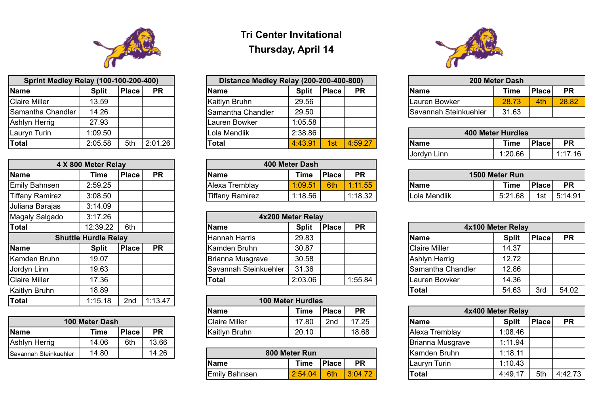## **Tri Center Invitational Thursday, April 14**

| <b>Sprint Medley Relay (100-100-200-400)</b> |              |       | Distance Medley Relay (200-200-400-800) |                          |              | 200 Meter Dash |           |                              |                          |
|----------------------------------------------|--------------|-------|-----------------------------------------|--------------------------|--------------|----------------|-----------|------------------------------|--------------------------|
| 1e                                           | <b>Split</b> | Place | <b>PR</b>                               | <b>Name</b>              | <b>Split</b> | <b>Place</b>   | <b>PR</b> | <b>Name</b>                  | <b>Time</b>              |
| e Miller                                     | 13.59        |       |                                         | Kaitlyn Bruhn            | 29.56        |                |           | Lauren Bowker                | 28.73                    |
| antha Chandler                               | 14.26        |       |                                         | <b>Samantha Chandler</b> | 29.50        |                |           | <b>Savannah Steinkuehler</b> | 31.63                    |
| yn Herrig                                    | 27.93        |       |                                         | lLauren Bowker           | 1:05.58      |                |           |                              |                          |
| vn Turin                                     | 1:09.50      |       |                                         | Lola Mendlik             | 2:38.86      |                |           |                              | <b>400 Meter Hurdles</b> |
|                                              | 2:05.58      | 5th   | 2:01.26                                 | Total                    | 4:43.91      | 1st            | 4:59.27   | <b>Name</b>                  | <b>Time</b>              |

| <b>Sprint Medley Relay (100-100-200-400)</b> |              |       |           | Distance Medley Relay (200-200-400-800) |              |              |           | 200 Meter Dash               |             |        |           |  |
|----------------------------------------------|--------------|-------|-----------|-----------------------------------------|--------------|--------------|-----------|------------------------------|-------------|--------|-----------|--|
| <b>Name</b>                                  | <b>Split</b> | Place | <b>PR</b> | <b>Name</b>                             | <b>Split</b> | <b>Place</b> | <b>PR</b> | Name                         | <b>Time</b> | 'Place | <b>PR</b> |  |
| <b>Claire Miller</b>                         | 3.59         |       |           | Kaitlyn Bruhn                           | 29.56        |              |           | Lauren Bowker                | 72<br>28.7  | 4th    | 28.82     |  |
| Samantha Chandler                            | 14.26        |       |           | Samantha Chandler                       | 29.50        |              |           | <b>Savannah Steinkuehler</b> | 31.63       |        |           |  |

| <b>IName</b> |  |
|--------------|--|
| Jordyn Linr  |  |

| Name       |
|------------|
| ola Mendli |



| <b>Sprint Medley Relay (100-100-200-400)</b> |              |              |           | Distance Medley Relay (200-200-400-800) |              |              |           | 200 Meter Dash           |             |              |           |  |
|----------------------------------------------|--------------|--------------|-----------|-----------------------------------------|--------------|--------------|-----------|--------------------------|-------------|--------------|-----------|--|
| Name                                         | <b>Split</b> | <b>Place</b> | <b>PR</b> | <b>Name</b>                             | <b>Split</b> | <b>Place</b> | <b>PR</b> | <b>Name</b>              | <b>Time</b> | <b>Place</b> | <b>PR</b> |  |
| <b>Claire Miller</b>                         | 13.59        |              |           | Kaitlyn Bruhn                           | 29.56        |              |           | Lauren Bowker            | 28.73       | 4th          | 28.82     |  |
| Samantha Chandler                            | 14.26        |              |           | Samantha Chandler                       | 29.50        |              |           | Savannah Steinkuehler    | 31.63       |              |           |  |
| Ashlyn Herrig                                | 27.93        |              |           | lLauren Bowker                          | 1:05.58      |              |           |                          |             |              |           |  |
| Lauryn Turin                                 | 1:09.50      |              |           | Lola Mendlik                            | 2:38.86      |              |           | <b>400 Meter Hurdles</b> |             |              |           |  |
| Total                                        | 2:05.58      | 5th          | 2:01.26   | <b>Total</b>                            | 4:43.91      | 1st          | 4:59.27   | <b>Name</b>              | <b>Time</b> | <b>Place</b> | <b>PR</b> |  |

| 400 Meter Hurdles |              |  |           |  |  |  |  |  |  |  |  |
|-------------------|--------------|--|-----------|--|--|--|--|--|--|--|--|
| <b>Name</b>       | Time   Place |  | <b>PR</b> |  |  |  |  |  |  |  |  |
| Jordyn Linn       | 1:20.66      |  | 1:17.16   |  |  |  |  |  |  |  |  |

| 1500 Meter Run |       |               |
|----------------|-------|---------------|
| <b>Time</b>    | Place | <b>PR</b>     |
| 5:21.68        |       | 1st   5:14.91 |

|                        | 4 X 800 Meter Relay |        |           |                        | 400 Meter Dash |              |           |  |                |             |               |           |
|------------------------|---------------------|--------|-----------|------------------------|----------------|--------------|-----------|--|----------------|-------------|---------------|-----------|
| <b>Name</b>            | Time                | Place, | <b>PR</b> | <b>Name</b>            | Time           | <b>Place</b> | <b>PR</b> |  | 1500 Meter Run |             |               |           |
| <b>Emily Bahnsen</b>   | 2:59.25             |        |           | <b>Alexa Tremblav</b>  | 1:09.51        | 6th          | 1:11.55   |  | <b>Name</b>    | <b>Time</b> | <b>IPlace</b> | <b>PR</b> |
| <b>Tiffany Ramirez</b> | 3:08.50             |        |           | <b>Tiffany Ramirez</b> | 1:18.56        |              | 1:18.32   |  | Lola Mendlik   | 5:21.68     | 1st           | 5:14.91   |

| Magaly Salgado       | 3:17.26                     |              |           |                       | 4x200 Meter Relay |              |           |                      |                   |
|----------------------|-----------------------------|--------------|-----------|-----------------------|-------------------|--------------|-----------|----------------------|-------------------|
| <b>Total</b>         | 12:39.22                    | 6th          |           | <b>Name</b>           | <b>Split</b>      | <b>Place</b> | <b>PR</b> |                      | 4x100 Meter Relay |
|                      | <b>Shuttle Hurdle Relay</b> |              |           | <b>Hannah Harris</b>  | 29.83             |              |           | <b>Name</b>          | <b>Split</b>      |
| <b>Name</b>          | <b>Split</b>                | <b>Place</b> | <b>PR</b> | lKamden Bruhn         | 30.87             |              |           | <b>Claire Miller</b> | 14.37             |
| Kamden Bruhn         | 19.07                       |              |           | Brianna Musgrave      | 30.58             |              |           | Ashlyn Herrig        | 12.72             |
| Jordyn Linn          | 19.63                       |              |           | Savannah Steinkuehler | 31.36             |              |           | Samantha Chandler    | 12.86             |
| <b>Claire Miller</b> | 17.36                       |              |           | <b>Total</b>          | 2:03.06           |              | 1:55.84   | Lauren Bowker        | 14.36             |

|                      | 4 X 800 Meter Relay         |              |           |
|----------------------|-----------------------------|--------------|-----------|
| <b>Name</b>          | Time                        | <b>Place</b> | <b>PR</b> |
| <b>Emily Bahnsen</b> | 2:59.25                     |              |           |
| Tiffany Ramirez      | 3:08.50                     |              |           |
| Juliana Barajas      | 3:14.09                     |              |           |
| Magaly Salgado       | 3:17.26                     |              |           |
| <b>Total</b>         | 12:39.22                    | 6th          |           |
|                      | <b>Shuttle Hurdle Relay</b> |              |           |
| <b>Name</b>          | <b>Split</b>                | <b>Place</b> | <b>PR</b> |
| Kamden Bruhn         | 19.07                       |              |           |
| Jordyn Linn          | 19.63                       |              |           |
| <b>Claire Miller</b> | 17.36                       |              |           |
| <b>Kaitlyn Bruhn</b> | 18.89                       |              |           |
| Total                | 1:15.18                     | 2nd          | 1:13.47   |

| <b>Total</b>         | 12:39.22                    | 6th          |           | <b>Name</b>           | <b>Split</b> | <b>Place</b> | <b>PR</b> | 4x100 Meter Relay                           |       |     |       |
|----------------------|-----------------------------|--------------|-----------|-----------------------|--------------|--------------|-----------|---------------------------------------------|-------|-----|-------|
|                      | <b>Shuttle Hurdle Relay</b> |              |           | Hannah Harris         | 29.83        |              |           | <b>Split</b><br><b>Name</b><br><b>Place</b> |       |     |       |
| <b>Name</b>          | <b>Split</b>                | <b>Place</b> | <b>PR</b> | <b>Kamden Bruhn</b>   | 30.87        |              |           | <b>Claire Miller</b>                        | 14.37 |     |       |
| Kamden Bruhn         | 19.07                       |              |           | Brianna Musgrave      | 30.58        |              |           | Ashlyn Herrig                               | 12.72 |     |       |
| Jordyn Linn          | 19.63                       |              |           | Savannah Steinkuehler | 31.36        |              |           | Samantha Chandler                           | 12.86 |     |       |
| <b>Claire Miller</b> | 7.36                        |              |           | <b>Total</b>          | 2:03.06      |              | 1:55.84   | Lauren Bowker                               | 14.36 |     |       |
| Kaitlyn Bruhn        | 18.89                       |              |           |                       |              |              |           | Total                                       | 54.63 | 3rd | 54.02 |

| Total       | 1:15.18        | 2nd          | 1:13.47   |  |                            | <b>100 Meter Hurdles</b> |        |           |                |                   |
|-------------|----------------|--------------|-----------|--|----------------------------|--------------------------|--------|-----------|----------------|-------------------|
|             |                |              |           |  | <b>Name</b>                | Time                     | 'Place | <b>PR</b> |                | 4x400 Meter Relay |
|             | 100 Meter Dash |              |           |  | <sup>I</sup> Claire Miller | 17.80                    | 2nd    | 17.25     | <b>Name</b>    | <b>Split</b>      |
| <b>Name</b> | Time           | <b>Place</b> | <b>PR</b> |  | Kaitlyn Bruhn              | 20.10                    |        | 18.68     | Alexa Tremblay | 1:08.46           |

|                       | <b>100 Meter Dash</b> |        |           | <b>Claire Miller</b> | 17.80 | 2 <sub>nd</sub> | 17.25 | <b>Name</b>      | <b>Split</b> |
|-----------------------|-----------------------|--------|-----------|----------------------|-------|-----------------|-------|------------------|--------------|
| Name                  | Time                  | 'Place | <b>PR</b> | <b>Kaitlyn Bruhn</b> | 20.10 |                 | 18.68 | Alexa Tremblay   | 1.08.46      |
| Ashlyn Herrig         | 14.06                 | 6th    | 13.66     |                      |       |                 |       | Brianna Musgrave | 1:11.94      |
| Savannah Steinkuehler | 14.80                 |        | 14.26     | 800 Meter Run        |       |                 |       | Kamden Bruhn     | 1:18.11      |

|      |                |                |           |  | Name          | Time          | <b>Place</b> | <b>PR</b> |                      | 4x400 Meter Relay |     |         |  |  |  |  |  |  |  |  |  |  |  |  |  |  |  |  |               |              |  |       |              |              |              |           |
|------|----------------|----------------|-----------|--|---------------|---------------|--------------|-----------|----------------------|-------------------|-----|---------|--|--|--|--|--|--|--|--|--|--|--|--|--|--|--|--|---------------|--------------|--|-------|--------------|--------------|--------------|-----------|
|      | 100 Meter Dash |                |           |  |               |               |              |           |                      |                   |     |         |  |  |  |  |  |  |  |  |  |  |  |  |  |  |  |  | Claire Miller | 17.80<br>2nd |  | 17.25 | <b>IName</b> | <b>Split</b> | <b>Place</b> | <b>PR</b> |
|      | <b>Time</b>    | <b>Place</b> I | <b>PR</b> |  | Kaitlyn Bruhn | 20.10         |              | 18.68     | Alexa Tremblay       | 1:08.46           |     |         |  |  |  |  |  |  |  |  |  |  |  |  |  |  |  |  |               |              |  |       |              |              |              |           |
|      | 14.06          | 6th            | 13.66     |  |               |               |              |           | Brianna Musgrave     | 1:11.94           |     |         |  |  |  |  |  |  |  |  |  |  |  |  |  |  |  |  |               |              |  |       |              |              |              |           |
| hler | 14.80          |                | 14.26     |  |               | 800 Meter Run |              |           | <b>Kamden Bruhn</b>  | 1:18.11           |     |         |  |  |  |  |  |  |  |  |  |  |  |  |  |  |  |  |               |              |  |       |              |              |              |           |
|      |                |                |           |  | <b>Name</b>   | <b>Time</b>   | <b>Place</b> | <b>PR</b> | <b>ILauryn Turin</b> | 1:10.43           |     |         |  |  |  |  |  |  |  |  |  |  |  |  |  |  |  |  |               |              |  |       |              |              |              |           |
|      |                |                |           |  | Emily Bahnsen | 2:54.04       | 6th          | 3:04.72   | <b>Total</b>         | 4:49.17           | 5th | 4:42.73 |  |  |  |  |  |  |  |  |  |  |  |  |  |  |  |  |               |              |  |       |              |              |              |           |

| Savannah Steinkuehler | 14.80 | $+26$<br>▗▃ | 800 Meter Run        |             |        | Kamden Bruhn | 1:18.11         |         |
|-----------------------|-------|-------------|----------------------|-------------|--------|--------------|-----------------|---------|
|                       |       |             | Name                 | <b>Time</b> | 'Place | <b>PR</b>    | Turin<br>Lauryn | 1:10.43 |
|                       |       |             | <b>Emily Bahnsen</b> | 2:54.04/    | 6th    | 3:04.72      | <b>Total</b>    | 4:49.17 |